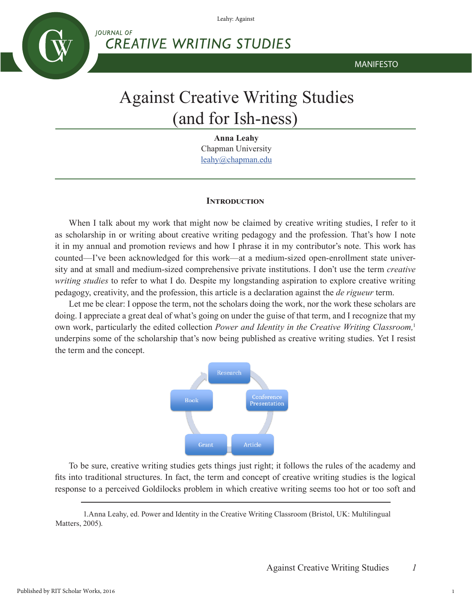Leahy: Against

**CREATIVE WRITING STUDIES** 



MANIFESTO

# Against Creative Writing Studies (and for Ish-ness)

**Anna Leahy** Chapman University leahy@chapman.edu

# **Introduction**

When I talk about my work that might now be claimed by creative writing studies, I refer to it as scholarship in or writing about creative writing pedagogy and the profession. That's how I note it in my annual and promotion reviews and how I phrase it in my contributor's note. This work has counted—I've been acknowledged for this work—at a medium-sized open-enrollment state university and at small and medium-sized comprehensive private institutions. I don't use the term *creative writing studies* to refer to what I do. Despite my longstanding aspiration to explore creative writing pedagogy, creativity, and the profession, this article is a declaration against the *de rigueur* term.

Let me be clear: I oppose the term, not the scholars doing the work, nor the work these scholars are doing. I appreciate a great deal of what's going on under the guise of that term, and I recognize that my own work, particularly the edited collection *Power and Identity in the Creative Writing Classroom,*<sup>1</sup> underpins some of the scholarship that's now being published as creative writing studies. Yet I resist the term and the concept.



To be sure, creative writing studies gets things just right; it follows the rules of the academy and fits into traditional structures. In fact, the term and concept of creative writing studies is the logical response to a perceived Goldilocks problem in which creative writing seems too hot or too soft and

1.Anna Leahy, ed. Power and Identity in the Creative Writing Classroom (Bristol, UK: Multilingual Matters, 2005).

1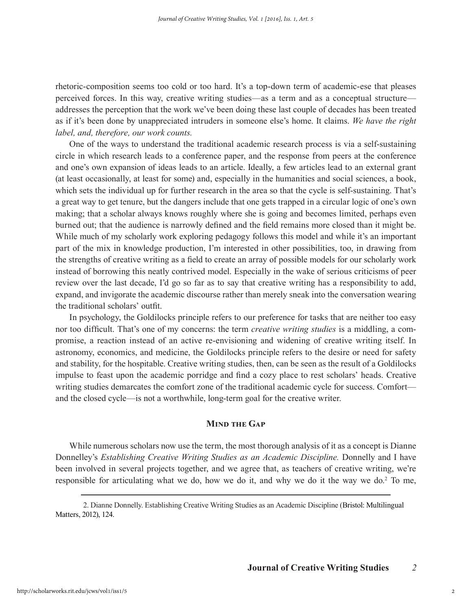rhetoric-composition seems too cold or too hard. It's a top-down term of academic-ese that pleases perceived forces. In this way, creative writing studies—as a term and as a conceptual structure addresses the perception that the work we've been doing these last couple of decades has been treated as if it's been done by unappreciated intruders in someone else's home. It claims. *We have the right label, and, therefore, our work counts.*

One of the ways to understand the traditional academic research process is via a self-sustaining circle in which research leads to a conference paper, and the response from peers at the conference and one's own expansion of ideas leads to an article. Ideally, a few articles lead to an external grant (at least occasionally, at least for some) and, especially in the humanities and social sciences, a book, which sets the individual up for further research in the area so that the cycle is self-sustaining. That's a great way to get tenure, but the dangers include that one gets trapped in a circular logic of one's own making; that a scholar always knows roughly where she is going and becomes limited, perhaps even burned out; that the audience is narrowly defined and the field remains more closed than it might be. While much of my scholarly work exploring pedagogy follows this model and while it's an important part of the mix in knowledge production, I'm interested in other possibilities, too, in drawing from the strengths of creative writing as a field to create an array of possible models for our scholarly work instead of borrowing this neatly contrived model. Especially in the wake of serious criticisms of peer review over the last decade, I'd go so far as to say that creative writing has a responsibility to add, expand, and invigorate the academic discourse rather than merely sneak into the conversation wearing the traditional scholars' outfit.

In psychology, the Goldilocks principle refers to our preference for tasks that are neither too easy nor too difficult. That's one of my concerns: the term *creative writing studies* is a middling, a compromise, a reaction instead of an active re-envisioning and widening of creative writing itself. In astronomy, economics, and medicine, the Goldilocks principle refers to the desire or need for safety and stability, for the hospitable. Creative writing studies, then, can be seen as the result of a Goldilocks impulse to feast upon the academic porridge and find a cozy place to rest scholars' heads. Creative writing studies demarcates the comfort zone of the traditional academic cycle for success. Comfort and the closed cycle—is not a worthwhile, long-term goal for the creative writer.

# **Mind the Gap**

While numerous scholars now use the term, the most thorough analysis of it as a concept is Dianne Donnelley's *Establishing Creative Writing Studies as an Academic Discipline.* Donnelly and I have been involved in several projects together, and we agree that, as teachers of creative writing, we're responsible for articulating what we do, how we do it, and why we do it the way we do.2 To me,

<sup>2.</sup> Dianne Donnelly. Establishing Creative Writing Studies as an Academic Discipline (Bristol: Multilingual Matters, 2012), 124.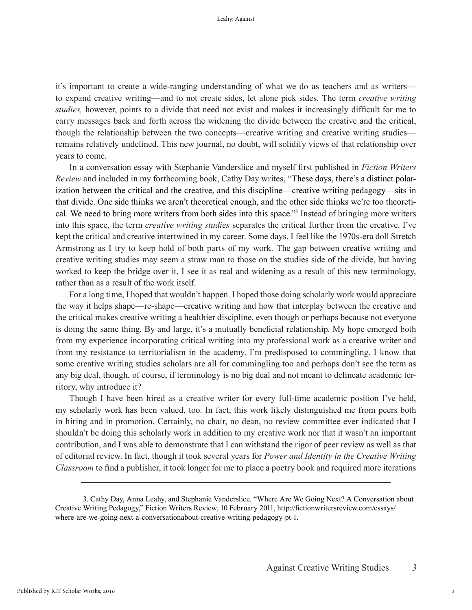it's important to create a wide-ranging understanding of what we do as teachers and as writers to expand creative writing—and to not create sides, let alone pick sides. The term *creative writing studies,* however, points to a divide that need not exist and makes it increasingly difficult for me to carry messages back and forth across the widening the divide between the creative and the critical, though the relationship between the two concepts—creative writing and creative writing studies remains relatively undefined. This new journal, no doubt, will solidify views of that relationship over years to come.

In a conversation essay with Stephanie Vanderslice and myself first published in *Fiction Writers Review* and included in my forthcoming book, Cathy Day writes, "These days, there's a distinct polarization between the critical and the creative, and this discipline—creative writing pedagogy—sits in that divide. One side thinks we aren't theoretical enough, and the other side thinks we're too theoretical. We need to bring more writers from both sides into this space."3 Instead of bringing more writers into this space, the term *creative writing studies* separates the critical further from the creative. I've kept the critical and creative intertwined in my career. Some days, I feel like the 1970s-era doll Stretch Armstrong as I try to keep hold of both parts of my work. The gap between creative writing and creative writing studies may seem a straw man to those on the studies side of the divide, but having worked to keep the bridge over it, I see it as real and widening as a result of this new terminology, rather than as a result of the work itself.

For a long time, I hoped that wouldn't happen. I hoped those doing scholarly work would appreciate the way it helps shape—re-shape—creative writing and how that interplay between the creative and the critical makes creative writing a healthier discipline, even though or perhaps because not everyone is doing the same thing. By and large, it's a mutually beneficial relationship. My hope emerged both from my experience incorporating critical writing into my professional work as a creative writer and from my resistance to territorialism in the academy. I'm predisposed to commingling. I know that some creative writing studies scholars are all for commingling too and perhaps don't see the term as any big deal, though, of course, if terminology is no big deal and not meant to delineate academic territory, why introduce it?

Though I have been hired as a creative writer for every full-time academic position I've held, my scholarly work has been valued, too. In fact, this work likely distinguished me from peers both in hiring and in promotion. Certainly, no chair, no dean, no review committee ever indicated that I shouldn't be doing this scholarly work in addition to my creative work nor that it wasn't an important contribution, and I was able to demonstrate that I can withstand the rigor of peer review as well as that of editorial review. In fact, though it took several years for *Power and Identity in the Creative Writing Classroom* to find a publisher, it took longer for me to place a poetry book and required more iterations

<sup>3.</sup> Cathy Day, Anna Leahy, and Stephanie Vanderslice. "Where Are We Going Next? A Conversation about Creative Writing Pedagogy," Fiction Writers Review, 10 February 2011, http://fictionwritersreview.com/essays/ where-are-we-going-next-a-conversationabout-creative-writing-pedagogy-pt-1.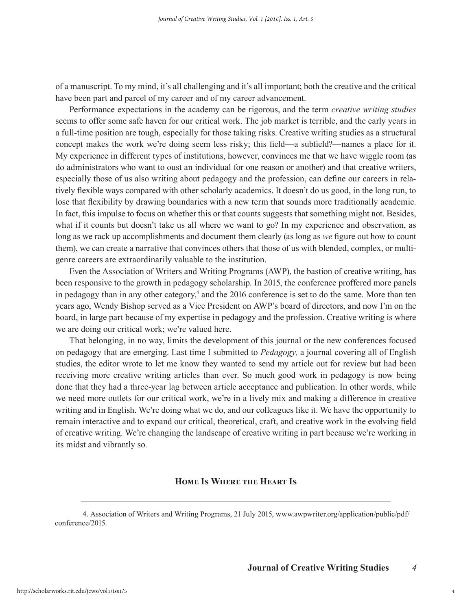of a manuscript. To my mind, it's all challenging and it's all important; both the creative and the critical have been part and parcel of my career and of my career advancement.

Performance expectations in the academy can be rigorous, and the term *creative writing studies*  seems to offer some safe haven for our critical work. The job market is terrible, and the early years in a full-time position are tough, especially for those taking risks. Creative writing studies as a structural concept makes the work we're doing seem less risky; this field—a subfield?—names a place for it. My experience in different types of institutions, however, convinces me that we have wiggle room (as do administrators who want to oust an individual for one reason or another) and that creative writers, especially those of us also writing about pedagogy and the profession, can define our careers in relatively flexible ways compared with other scholarly academics. It doesn't do us good, in the long run, to lose that flexibility by drawing boundaries with a new term that sounds more traditionally academic. In fact, this impulse to focus on whether this or that counts suggests that something might not. Besides, what if it counts but doesn't take us all where we want to go? In my experience and observation, as long as we rack up accomplishments and document them clearly (as long as *we* figure out how to count them), we can create a narrative that convinces others that those of us with blended, complex, or multigenre careers are extraordinarily valuable to the institution.

Even the Association of Writers and Writing Programs (AWP), the bastion of creative writing, has been responsive to the growth in pedagogy scholarship. In 2015, the conference proffered more panels in pedagogy than in any other category,<sup>4</sup> and the 2016 conference is set to do the same. More than ten years ago, Wendy Bishop served as a Vice President on AWP's board of directors, and now I'm on the board, in large part because of my expertise in pedagogy and the profession. Creative writing is where we are doing our critical work; we're valued here.

That belonging, in no way, limits the development of this journal or the new conferences focused on pedagogy that are emerging. Last time I submitted to *Pedagogy,* a journal covering all of English studies, the editor wrote to let me know they wanted to send my article out for review but had been receiving more creative writing articles than ever. So much good work in pedagogy is now being done that they had a three-year lag between article acceptance and publication. In other words, while we need more outlets for our critical work, we're in a lively mix and making a difference in creative writing and in English. We're doing what we do, and our colleagues like it. We have the opportunity to remain interactive and to expand our critical, theoretical, craft, and creative work in the evolving field of creative writing. We're changing the landscape of creative writing in part because we're working in its midst and vibrantly so.

#### **Home Is Where the Heart Is**

4. Association of Writers and Writing Programs, 21 July 2015, www.awpwriter.org/application/public/pdf/ conference/2015.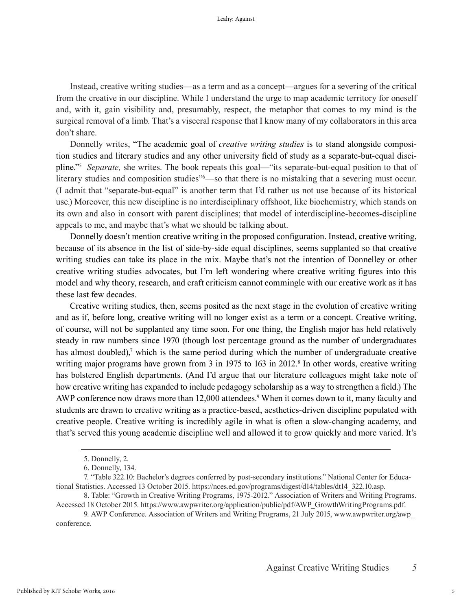Instead, creative writing studies—as a term and as a concept—argues for a severing of the critical from the creative in our discipline. While I understand the urge to map academic territory for oneself and, with it, gain visibility and, presumably, respect, the metaphor that comes to my mind is the surgical removal of a limb. That's a visceral response that I know many of my collaborators in this area don't share.

Donnelly writes, "The academic goal of *creative writing studies* is to stand alongside composition studies and literary studies and any other university field of study as a separate-but-equal discipline."5 *Separate,* she writes. The book repeats this goal—"its separate-but-equal position to that of literary studies and composition studies<sup>"6</sup>—so that there is no mistaking that a severing must occur. (I admit that "separate-but-equal" is another term that I'd rather us not use because of its historical use.) Moreover, this new discipline is no interdisciplinary offshoot, like biochemistry, which stands on its own and also in consort with parent disciplines; that model of interdiscipline-becomes-discipline appeals to me, and maybe that's what we should be talking about.

Donnelly doesn't mention creative writing in the proposed configuration. Instead, creative writing, because of its absence in the list of side-by-side equal disciplines, seems supplanted so that creative writing studies can take its place in the mix. Maybe that's not the intention of Donnelley or other creative writing studies advocates, but I'm left wondering where creative writing figures into this model and why theory, research, and craft criticism cannot commingle with our creative work as it has these last few decades.

Creative writing studies, then, seems posited as the next stage in the evolution of creative writing and as if, before long, creative writing will no longer exist as a term or a concept. Creative writing, of course, will not be supplanted any time soon. For one thing, the English major has held relatively steady in raw numbers since 1970 (though lost percentage ground as the number of undergraduates has almost doubled), $\theta$  which is the same period during which the number of undergraduate creative writing major programs have grown from 3 in 1975 to 163 in 2012.<sup>8</sup> In other words, creative writing has bolstered English departments. (And I'd argue that our literature colleagues might take note of how creative writing has expanded to include pedagogy scholarship as a way to strengthen a field.) The AWP conference now draws more than 12,000 attendees.<sup>9</sup> When it comes down to it, many faculty and students are drawn to creative writing as a practice-based, aesthetics-driven discipline populated with creative people. Creative writing is incredibly agile in what is often a slow-changing academy, and that's served this young academic discipline well and allowed it to grow quickly and more varied. It's

<sup>5.</sup> Donnelly, 2.

<sup>6.</sup> Donnelly, 134.

<sup>7. &</sup>quot;Table 322.10: Bachelor's degrees conferred by post-secondary institutions." National Center for Educational Statistics. Accessed 13 October 2015. https://nces.ed.gov/programs/digest/d14/tables/dt14\_322.10.asp.

<sup>8.</sup> Table: "Growth in Creative Writing Programs, 1975-2012." Association of Writers and Writing Programs. Accessed 18 October 2015. https://www.awpwriter.org/application/public/pdf/AWP\_GrowthWritingPrograms.pdf.

<sup>9.</sup> AWP Conference. Association of Writers and Writing Programs, 21 July 2015, www.awpwriter.org/awp\_ conference.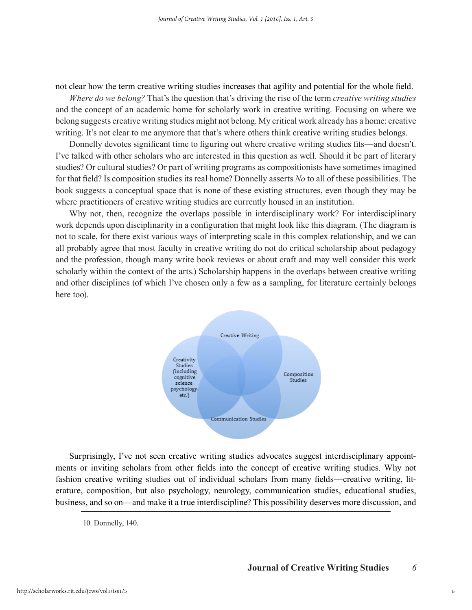not clear how the term creative writing studies increases that agility and potential for the whole field.

*Where do we belong?* That's the question that's driving the rise of the term *creative writing studies* and the concept of an academic home for scholarly work in creative writing. Focusing on where we belong suggests creative writing studies might not belong. My critical work already has a home: creative writing. It's not clear to me anymore that that's where others think creative writing studies belongs.

Donnelly devotes significant time to figuring out where creative writing studies fits—and doesn't. I've talked with other scholars who are interested in this question as well. Should it be part of literary studies? Or cultural studies? Or part of writing programs as compositionists have sometimes imagined for that field? Is composition studies its real home? Donnelly asserts *No* to all of these possibilities. The book suggests a conceptual space that is none of these existing structures, even though they may be where practitioners of creative writing studies are currently housed in an institution.

Why not, then, recognize the overlaps possible in interdisciplinary work? For interdisciplinary work depends upon disciplinarity in a configuration that might look like this diagram. (The diagram is not to scale, for there exist various ways of interpreting scale in this complex relationship, and we can all probably agree that most faculty in creative writing do not do critical scholarship about pedagogy and the profession, though many write book reviews or about craft and may well consider this work scholarly within the context of the arts.) Scholarship happens in the overlaps between creative writing and other disciplines (of which I've chosen only a few as a sampling, for literature certainly belongs here too).



Surprisingly, I've not seen creative writing studies advocates suggest interdisciplinary appointments or inviting scholars from other fields into the concept of creative writing studies. Why not fashion creative writing studies out of individual scholars from many fields—creative writing, literature, composition, but also psychology, neurology, communication studies, educational studies, business, and so on—and make it a true interdiscipline? This possibility deserves more discussion, and

<sup>10.</sup> Donnelly, 140.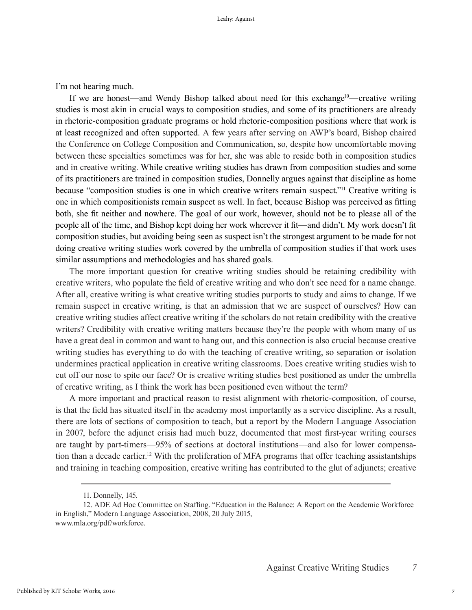I'm not hearing much.

If we are honest—and Wendy Bishop talked about need for this exchange<sup>10</sup>—creative writing studies is most akin in crucial ways to composition studies, and some of its practitioners are already in rhetoric-composition graduate programs or hold rhetoric-composition positions where that work is at least recognized and often supported. A few years after serving on AWP's board, Bishop chaired the Conference on College Composition and Communication, so, despite how uncomfortable moving between these specialties sometimes was for her, she was able to reside both in composition studies and in creative writing. While creative writing studies has drawn from composition studies and some of its practitioners are trained in composition studies, Donnelly argues against that discipline as home because "composition studies is one in which creative writers remain suspect."11 Creative writing is one in which compositionists remain suspect as well. In fact, because Bishop was perceived as fitting both, she fit neither and nowhere. The goal of our work, however, should not be to please all of the people all of the time, and Bishop kept doing her work wherever it fit—and didn't. My work doesn't fit composition studies, but avoiding being seen as suspect isn't the strongest argument to be made for not doing creative writing studies work covered by the umbrella of composition studies if that work uses similar assumptions and methodologies and has shared goals.

The more important question for creative writing studies should be retaining credibility with creative writers, who populate the field of creative writing and who don't see need for a name change. After all, creative writing is what creative writing studies purports to study and aims to change. If we remain suspect in creative writing, is that an admission that we are suspect of ourselves? How can creative writing studies affect creative writing if the scholars do not retain credibility with the creative writers? Credibility with creative writing matters because they're the people with whom many of us have a great deal in common and want to hang out, and this connection is also crucial because creative writing studies has everything to do with the teaching of creative writing, so separation or isolation undermines practical application in creative writing classrooms. Does creative writing studies wish to cut off our nose to spite our face? Or is creative writing studies best positioned as under the umbrella of creative writing, as I think the work has been positioned even without the term?

A more important and practical reason to resist alignment with rhetoric-composition, of course, is that the field has situated itself in the academy most importantly as a service discipline. As a result, there are lots of sections of composition to teach, but a report by the Modern Language Association in 2007, before the adjunct crisis had much buzz, documented that most first-year writing courses are taught by part-timers—95% of sections at doctoral institutions—and also for lower compensation than a decade earlier.12 With the proliferation of MFA programs that offer teaching assistantships and training in teaching composition, creative writing has contributed to the glut of adjuncts; creative

<sup>11.</sup> Donnelly, 145.

<sup>12.</sup> ADE Ad Hoc Committee on Staffing. "Education in the Balance: A Report on the Academic Workforce in English," Modern Language Association, 2008, 20 July 2015, www.mla.org/pdf/workforce.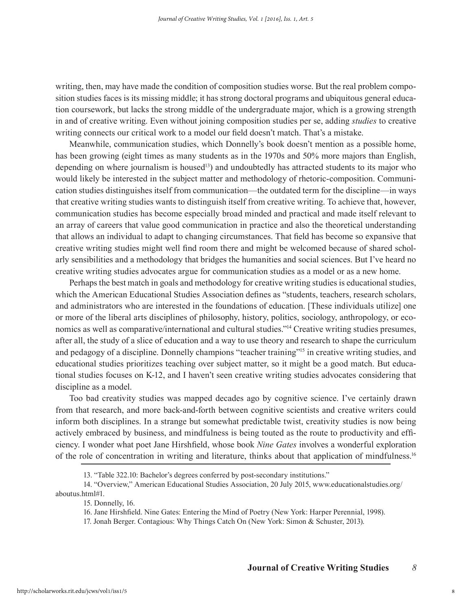writing, then, may have made the condition of composition studies worse. But the real problem composition studies faces is its missing middle; it has strong doctoral programs and ubiquitous general education coursework, but lacks the strong middle of the undergraduate major, which is a growing strength in and of creative writing. Even without joining composition studies per se, adding *studies* to creative writing connects our critical work to a model our field doesn't match. That's a mistake.

Meanwhile, communication studies, which Donnelly's book doesn't mention as a possible home, has been growing (eight times as many students as in the 1970s and 50% more majors than English, depending on where journalism is housed<sup>13</sup>) and undoubtedly has attracted students to its major who would likely be interested in the subject matter and methodology of rhetoric-composition. Communication studies distinguishes itself from communication—the outdated term for the discipline—in ways that creative writing studies wants to distinguish itself from creative writing. To achieve that, however, communication studies has become especially broad minded and practical and made itself relevant to an array of careers that value good communication in practice and also the theoretical understanding that allows an individual to adapt to changing circumstances. That field has become so expansive that creative writing studies might well find room there and might be welcomed because of shared scholarly sensibilities and a methodology that bridges the humanities and social sciences. But I've heard no creative writing studies advocates argue for communication studies as a model or as a new home.

Perhaps the best match in goals and methodology for creative writing studies is educational studies, which the American Educational Studies Association defines as "students, teachers, research scholars, and administrators who are interested in the foundations of education. [These individuals utilize] one or more of the liberal arts disciplines of philosophy, history, politics, sociology, anthropology, or economics as well as comparative/international and cultural studies."14 Creative writing studies presumes, after all, the study of a slice of education and a way to use theory and research to shape the curriculum and pedagogy of a discipline. Donnelly champions "teacher training"15 in creative writing studies, and educational studies prioritizes teaching over subject matter, so it might be a good match. But educational studies focuses on K-12, and I haven't seen creative writing studies advocates considering that discipline as a model.

Too bad creativity studies was mapped decades ago by cognitive science. I've certainly drawn from that research, and more back-and-forth between cognitive scientists and creative writers could inform both disciplines. In a strange but somewhat predictable twist, creativity studies is now being actively embraced by business, and mindfulness is being touted as the route to productivity and efficiency. I wonder what poet Jane Hirshfield, whose book *Nine Gates* involves a wonderful exploration of the role of concentration in writing and literature, thinks about that application of mindfulness.16

<sup>13. &</sup>quot;Table 322.10: Bachelor's degrees conferred by post-secondary institutions."

<sup>14. &</sup>quot;Overview," American Educational Studies Association, 20 July 2015, www.educationalstudies.org/ aboutus.html#1.

<sup>15.</sup> Donnelly, 16.

<sup>16.</sup> Jane Hirshfield. Nine Gates: Entering the Mind of Poetry (New York: Harper Perennial, 1998).

<sup>17.</sup> Jonah Berger. Contagious: Why Things Catch On (New York: Simon & Schuster, 2013).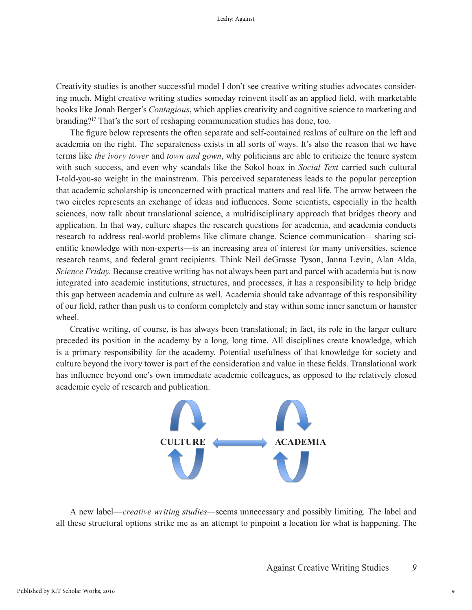Creativity studies is another successful model I don't see creative writing studies advocates considering much. Might creative writing studies someday reinvent itself as an applied field, with marketable books like Jonah Berger's *Contagious*, which applies creativity and cognitive science to marketing and branding?17 That's the sort of reshaping communication studies has done, too.

The figure below represents the often separate and self-contained realms of culture on the left and academia on the right. The separateness exists in all sorts of ways. It's also the reason that we have terms like *the ivory tower* and *town and gown*, why politicians are able to criticize the tenure system with such success, and even why scandals like the Sokol hoax in *Social Text* carried such cultural I-told-you-so weight in the mainstream. This perceived separateness leads to the popular perception that academic scholarship is unconcerned with practical matters and real life. The arrow between the two circles represents an exchange of ideas and influences. Some scientists, especially in the health sciences, now talk about translational science, a multidisciplinary approach that bridges theory and application. In that way, culture shapes the research questions for academia, and academia conducts research to address real-world problems like climate change. Science communication—sharing scientific knowledge with non-experts—is an increasing area of interest for many universities, science research teams, and federal grant recipients. Think Neil deGrasse Tyson, Janna Levin, Alan Alda, *Science Friday*. Because creative writing has not always been part and parcel with academia but is now integrated into academic institutions, structures, and processes, it has a responsibility to help bridge this gap between academia and culture as well. Academia should take advantage of this responsibility of our field, rather than push us to conform completely and stay within some inner sanctum or hamster wheel.

Creative writing, of course, is has always been translational; in fact, its role in the larger culture preceded its position in the academy by a long, long time. All disciplines create knowledge, which is a primary responsibility for the academy. Potential usefulness of that knowledge for society and culture beyond the ivory tower is part of the consideration and value in these fields. Translational work has influence beyond one's own immediate academic colleagues, as opposed to the relatively closed academic cycle of research and publication.



A new label—*creative writing studies—*seems unnecessary and possibly limiting. The label and all these structural options strike me as an attempt to pinpoint a location for what is happening. The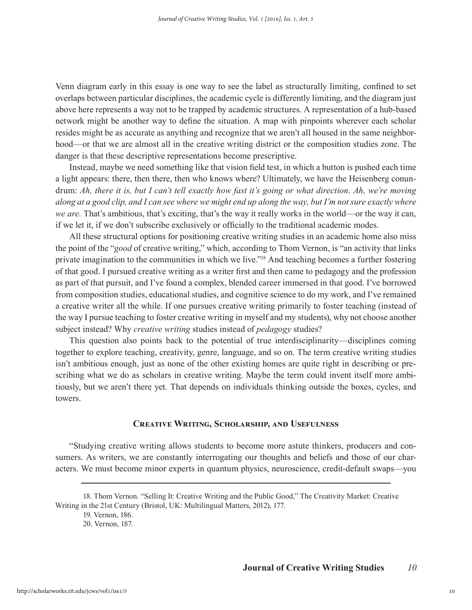Venn diagram early in this essay is one way to see the label as structurally limiting, confined to set overlaps between particular disciplines, the academic cycle is differently limiting, and the diagram just above here represents a way not to be trapped by academic structures. A representation of a hub-based network might be another way to define the situation. A map with pinpoints wherever each scholar resides might be as accurate as anything and recognize that we aren't all housed in the same neighborhood—or that we are almost all in the creative writing district or the composition studies zone. The danger is that these descriptive representations become prescriptive.

Instead, maybe we need something like that vision field test, in which a button is pushed each time a light appears: there, then there, then who knows where? Ultimately, we have the Heisenberg conundrum: *Ah, there it is, but I can't tell exactly how fast it's going or what direction. Ah, we're moving along at a good clip, and I can see where we might end up along the way, but I'm not sure exactly where we are.* That's ambitious, that's exciting, that's the way it really works in the world—or the way it can, if we let it, if we don't subscribe exclusively or officially to the traditional academic modes.

All these structural options for positioning creative writing studies in an academic home also miss the point of the "*good* of creative writing," which, according to Thom Vernon, is "an activity that links private imagination to the communities in which we live."18 And teaching becomes a further fostering of that good. I pursued creative writing as a writer first and then came to pedagogy and the profession as part of that pursuit, and I've found a complex, blended career immersed in that good. I've borrowed from composition studies, educational studies, and cognitive science to do my work, and I've remained a creative writer all the while. If one pursues creative writing primarily to foster teaching (instead of the way I pursue teaching to foster creative writing in myself and my students), why not choose another subject instead? Why *creative writing* studies instead of *pedagogy* studies?

This question also points back to the potential of true interdisciplinarity—disciplines coming together to explore teaching, creativity, genre, language, and so on. The term creative writing studies isn't ambitious enough, just as none of the other existing homes are quite right in describing or prescribing what we do as scholars in creative writing. Maybe the term could invent itself more ambitiously, but we aren't there yet. That depends on individuals thinking outside the boxes, cycles, and towers.

### **Creative Writing, Scholarship, and Usefulness**

"Studying creative writing allows students to become more astute thinkers, producers and consumers. As writers, we are constantly interrogating our thoughts and beliefs and those of our characters. We must become minor experts in quantum physics, neuroscience, credit-default swaps—you

<sup>18.</sup> Thom Vernon. "Selling It: Creative Writing and the Public Good," The Creativity Market: Creative Writing in the 21st Century (Bristol, UK: Multilingual Matters, 2012), 177.

<sup>19.</sup> Vernon, 186.

<sup>20.</sup> Vernon, 187.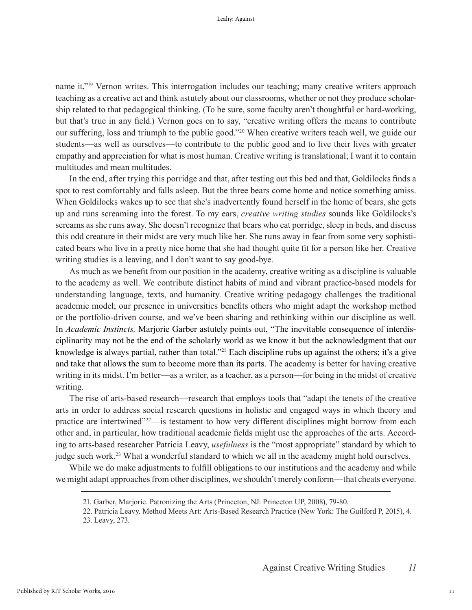name it,"19 Vernon writes. This interrogation includes our teaching; many creative writers approach teaching as a creative act and think astutely about our classrooms, whether or not they produce scholarship related to that pedagogical thinking. (To be sure, some faculty aren't thoughtful or hard-working, but that's true in any field.) Vernon goes on to say, "creative writing offers the means to contribute our suffering, loss and triumph to the public good."20 When creative writers teach well, we guide our students—as well as ourselves—to contribute to the public good and to live their lives with greater empathy and appreciation for what is most human. Creative writing is translational; I want it to contain multitudes and mean multitudes.

In the end, after trying this porridge and that, after testing out this bed and that, Goldilocks finds a spot to rest comfortably and falls asleep. But the three bears come home and notice something amiss. When Goldilocks wakes up to see that she's inadvertently found herself in the home of bears, she gets up and runs screaming into the forest. To my ears, *creative writing studies* sounds like Goldilocks's screams as she runs away. She doesn't recognize that bears who eat porridge, sleep in beds, and discuss this odd creature in their midst are very much like her. She runs away in fear from some very sophisticated bears who live in a pretty nice home that she had thought quite fit for a person like her. Creative writing studies is a leaving, and I don't want to say good-bye.

As much as we benefit from our position in the academy, creative writing as a discipline is valuable to the academy as well. We contribute distinct habits of mind and vibrant practice-based models for understanding language, texts, and humanity. Creative writing pedagogy challenges the traditional academic model; our presence in universities benefits others who might adapt the workshop method or the portfolio-driven course, and we've been sharing and rethinking within our discipline as well. In *Academic Instincts,* Marjorie Garber astutely points out, "The inevitable consequence of interdisciplinarity may not be the end of the scholarly world as we know it but the acknowledgment that our knowledge is always partial, rather than total."<sup>21</sup> Each discipline rubs up against the others; it's a give and take that allows the sum to become more than its parts. The academy is better for having creative writing in its midst. I'm better—as a writer, as a teacher, as a person—for being in the midst of creative writing.

The rise of arts-based research—research that employs tools that "adapt the tenets of the creative arts in order to address social research questions in holistic and engaged ways in which theory and practice are intertwined"<sup>222</sup>—is testament to how very different disciplines might borrow from each other and, in particular, how traditional academic fields might use the approaches of the arts. According to arts-based researcher Patricia Leavy, *usefulness* is the "most appropriate" standard by which to judge such work.<sup>23</sup> What a wonderful standard to which we all in the academy might hold ourselves.

While we do make adjustments to fulfill obligations to our institutions and the academy and while we might adapt approaches from other disciplines, we shouldn't merely conform—that cheats everyone.

<sup>21.</sup> Garber, Marjorie. Patronizing the Arts (Princeton, NJ: Princeton UP, 2008), 79-80.

<sup>22.</sup> Patricia Leavy. Method Meets Art: Arts-Based Research Practice (New York: The Guilford P, 2015), 4.

<sup>23.</sup> Leavy, 273.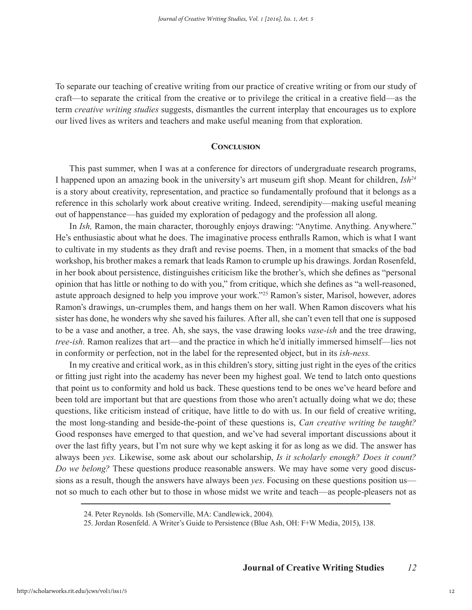To separate our teaching of creative writing from our practice of creative writing or from our study of craft—to separate the critical from the creative or to privilege the critical in a creative field—as the term *creative writing studies* suggests, dismantles the current interplay that encourages us to explore our lived lives as writers and teachers and make useful meaning from that exploration.

#### **Conclusion**

This past summer, when I was at a conference for directors of undergraduate research programs, I happened upon an amazing book in the university's art museum gift shop. Meant for children, *Ish24* is a story about creativity, representation, and practice so fundamentally profound that it belongs as a reference in this scholarly work about creative writing. Indeed, serendipity—making useful meaning out of happenstance—has guided my exploration of pedagogy and the profession all along.

In *Ish,* Ramon, the main character, thoroughly enjoys drawing: "Anytime. Anything. Anywhere." He's enthusiastic about what he does. The imaginative process enthralls Ramon, which is what I want to cultivate in my students as they draft and revise poems. Then, in a moment that smacks of the bad workshop, his brother makes a remark that leads Ramon to crumple up his drawings. Jordan Rosenfeld, in her book about persistence, distinguishes criticism like the brother's, which she defines as "personal opinion that has little or nothing to do with you," from critique, which she defines as "a well-reasoned, astute approach designed to help you improve your work."25 Ramon's sister, Marisol, however, adores Ramon's drawings, un-crumples them, and hangs them on her wall. When Ramon discovers what his sister has done, he wonders why she saved his failures. After all, she can't even tell that one is supposed to be a vase and another, a tree. Ah, she says, the vase drawing looks *vase-ish* and the tree drawing, *tree-ish.* Ramon realizes that art—and the practice in which he'd initially immersed himself—lies not in conformity or perfection, not in the label for the represented object, but in its *ish-ness.*

In my creative and critical work, as in this children's story, sitting just right in the eyes of the critics or fitting just right into the academy has never been my highest goal. We tend to latch onto questions that point us to conformity and hold us back. These questions tend to be ones we've heard before and been told are important but that are questions from those who aren't actually doing what we do; these questions, like criticism instead of critique, have little to do with us. In our field of creative writing, the most long-standing and beside-the-point of these questions is, *Can creative writing be taught?* Good responses have emerged to that question, and we've had several important discussions about it over the last fifty years, but I'm not sure why we kept asking it for as long as we did. The answer has always been *yes.* Likewise, some ask about our scholarship, *Is it scholarly enough? Does it count? Do we belong?* These questions produce reasonable answers. We may have some very good discussions as a result, though the answers have always been *yes*. Focusing on these questions position us not so much to each other but to those in whose midst we write and teach—as people-pleasers not as

<sup>24.</sup> Peter Reynolds. Ish (Somerville, MA: Candlewick, 2004).

<sup>25.</sup> Jordan Rosenfeld. A Writer's Guide to Persistence (Blue Ash, OH: F+W Media, 2015), 138.